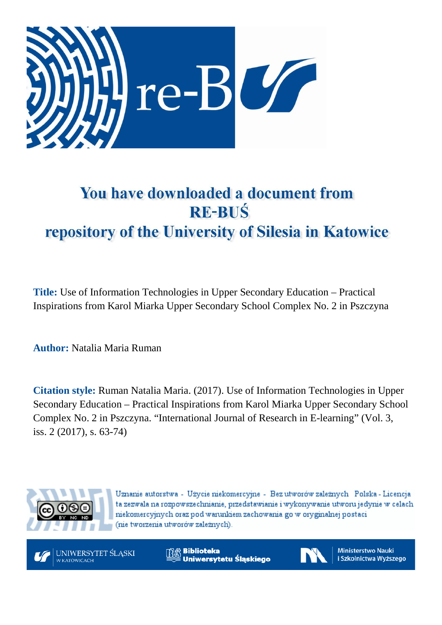

# You have downloaded a document from **RE-BUŚ** repository of the University of Silesia in Katowice

**Title:** Use of Information Technologies in Upper Secondary Education – Practical Inspirations from Karol Miarka Upper Secondary School Complex No. 2 in Pszczyna

**Author:** Natalia Maria Ruman

**Citation style:** Ruman Natalia Maria. (2017). Use of Information Technologies in Upper Secondary Education – Practical Inspirations from Karol Miarka Upper Secondary School Complex No. 2 in Pszczyna. "International Journal of Research in E-learning" (Vol. 3, iss. 2 (2017), s. 63-74)



Uznanie autorstwa - Użycie niekomercyjne - Bez utworów zależnych Polska - Licencja ta zezwala na rozpowszechnianie, przedstawianie i wykonywanie utworu jedynie w celach niekomercyjnych oraz pod warunkiem zachowania go w oryginalnej postaci (nie tworzenia utworów zależnych).



**Biblioteka** Uniwersytetu Śląskiego



**Ministerstwo Nauki** i Szkolnictwa Wyższego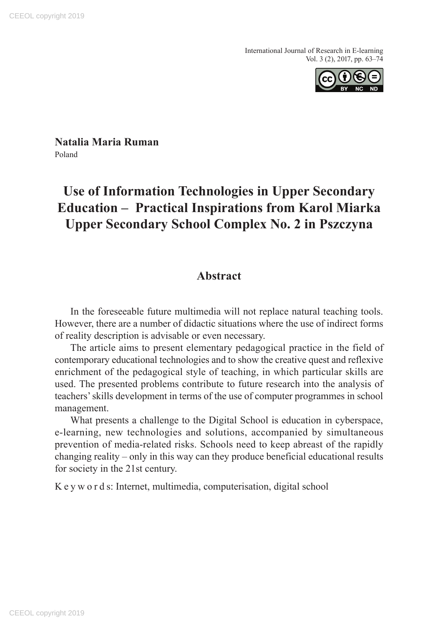

**Natalia Maria Ruman**  Poland

# **Use of Information Technologies in Upper Secondary Education – Practical Inspirations from Karol Miarka Upper Secondary School Complex No. 2 in Pszczyna**

# **Abstract**

In the foreseeable future multimedia will not replace natural teaching tools. However, there are a number of didactic situations where the use of indirect forms of reality description is advisable or even necessary.

The article aims to present elementary pedagogical practice in the field of contemporary educational technologies and to show the creative quest and reflexive enrichment of the pedagogical style of teaching, in which particular skills are used. The presented problems contribute to future research into the analysis of teachers' skills development in terms of the use of computer programmes in school management.

What presents a challenge to the Digital School is education in cyberspace, e-learning, new technologies and solutions, accompanied by simultaneous prevention of media-related risks. Schools need to keep abreast of the rapidly changing reality – only in this way can they produce beneficial educational results for society in the 21st century.

K e y w o r d s: Internet, multimedia, computerisation, digital school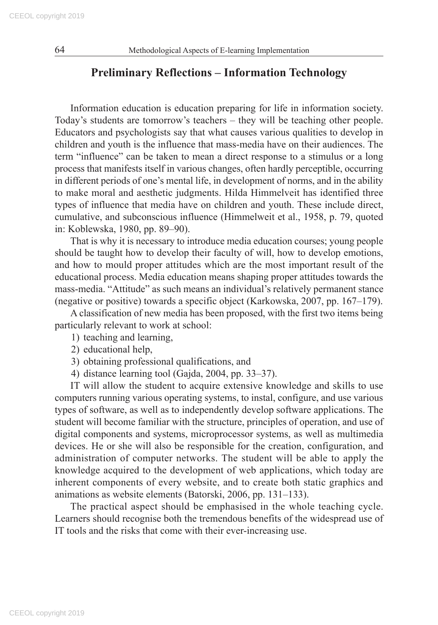# **Preliminary Reflections – Information Technology**

Information education is education preparing for life in information society. Today's students are tomorrow's teachers – they will be teaching other people. Educators and psychologists say that what causes various qualities to develop in children and youth is the influence that mass-media have on their audiences. The term "influence" can be taken to mean a direct response to a stimulus or a long process that manifests itself in various changes, often hardly perceptible, occurring in different periods of one's mental life, in development of norms, and in the ability to make moral and aesthetic judgments. Hilda Himmelveit has identified three types of influence that media have on children and youth. These include direct, cumulative, and subconscious influence (Himmelweit et al., 1958, p. 79, quoted in: Koblewska, 1980, pp. 89–90).

That is why it is necessary to introduce media education courses; young people should be taught how to develop their faculty of will, how to develop emotions, and how to mould proper attitudes which are the most important result of the educational process. Media education means shaping proper attitudes towards the mass-media. "Attitude" as such means an individual's relatively permanent stance (negative or positive) towards a specific object (Karkowska, 2007, pp. 167–179).

A classification of new media has been proposed, with the first two items being particularly relevant to work at school:

- 1) teaching and learning,
- 2) educational help,
- 3) obtaining professional qualifications, and
- 4) distance learning tool (Gajda, 2004, pp. 33–37).

IT will allow the student to acquire extensive knowledge and skills to use computers running various operating systems, to instal, configure, and use various types of software, as well as to independently develop software applications. The student will become familiar with the structure, principles of operation, and use of digital components and systems, microprocessor systems, as well as multimedia devices. He or she will also be responsible for the creation, configuration, and administration of computer networks. The student will be able to apply the knowledge acquired to the development of web applications, which today are inherent components of every website, and to create both static graphics and animations as website elements (Batorski, 2006, pp. 131–133).

The practical aspect should be emphasised in the whole teaching cycle. Learners should recognise both the tremendous benefits of the widespread use of IT tools and the risks that come with their ever-increasing use.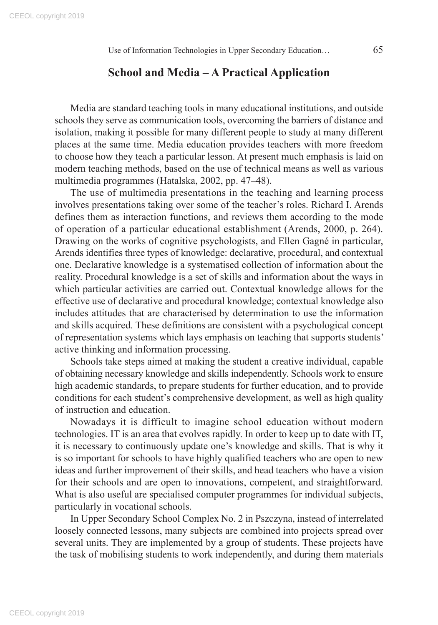# **School and Media – A Practical Application**

Media are standard teaching tools in many educational institutions, and outside schools they serve as communication tools, overcoming the barriers of distance and isolation, making it possible for many different people to study at many different places at the same time. Media education provides teachers with more freedom to choose how they teach a particular lesson. At present much emphasis is laid on modern teaching methods, based on the use of technical means as well as various multimedia programmes (Hatalska, 2002, pp. 47–48).

The use of multimedia presentations in the teaching and learning process involves presentations taking over some of the teacher's roles. Richard I. Arends defines them as interaction functions, and reviews them according to the mode of operation of a particular educational establishment (Arends, 2000, p. 264). Drawing on the works of cognitive psychologists, and Ellen Gagné in particular, Arends identifies three types of knowledge: declarative, procedural, and contextual one. Declarative knowledge is a systematised collection of information about the reality. Procedural knowledge is a set of skills and information about the ways in which particular activities are carried out. Contextual knowledge allows for the effective use of declarative and procedural knowledge; contextual knowledge also includes attitudes that are characterised by determination to use the information and skills acquired. These definitions are consistent with a psychological concept of representation systems which lays emphasis on teaching that supports students' active thinking and information processing.

Schools take steps aimed at making the student a creative individual, capable of obtaining necessary knowledge and skills independently. Schools work to ensure high academic standards, to prepare students for further education, and to provide conditions for each student's comprehensive development, as well as high quality of instruction and education.

Nowadays it is difficult to imagine school education without modern technologies. IT is an area that evolves rapidly. In order to keep up to date with IT, it is necessary to continuously update one's knowledge and skills. That is why it is so important for schools to have highly qualified teachers who are open to new ideas and further improvement of their skills, and head teachers who have a vision for their schools and are open to innovations, competent, and straightforward. What is also useful are specialised computer programmes for individual subjects, particularly in vocational schools.

In Upper Secondary School Complex No. 2 in Pszczyna, instead of interrelated loosely connected lessons, many subjects are combined into projects spread over several units. They are implemented by a group of students. These projects have the task of mobilising students to work independently, and during them materials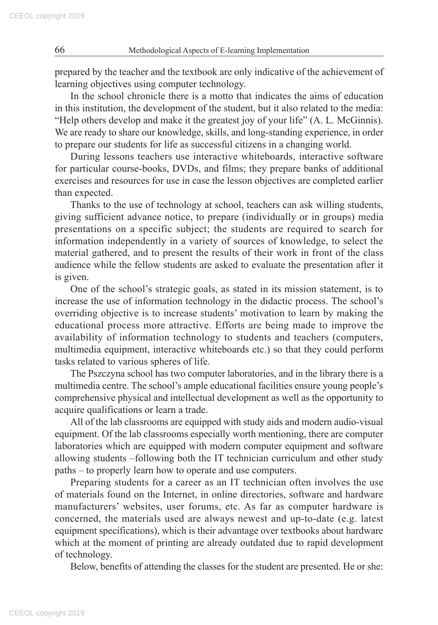prepared by the teacher and the textbook are only indicative of the achievement of learning objectives using computer technology.

In the school chronicle there is a motto that indicates the aims of education in this institution, the development of the student, but it also related to the media: "Help others develop and make it the greatest joy of your life" (A. L. McGinnis). We are ready to share our knowledge, skills, and long-standing experience, in order to prepare our students for life as successful citizens in a changing world.

During lessons teachers use interactive whiteboards, interactive software for particular course-books, DVDs, and films; they prepare banks of additional exercises and resources for use in case the lesson objectives are completed earlier than expected.

Thanks to the use of technology at school, teachers can ask willing students, giving sufficient advance notice, to prepare (individually or in groups) media presentations on a specific subject; the students are required to search for information independently in a variety of sources of knowledge, to select the material gathered, and to present the results of their work in front of the class audience while the fellow students are asked to evaluate the presentation after it is given.

One of the school's strategic goals, as stated in its mission statement, is to increase the use of information technology in the didactic process. The school's overriding objective is to increase students' motivation to learn by making the educational process more attractive. Efforts are being made to improve the availability of information technology to students and teachers (computers, multimedia equipment, interactive whiteboards etc.) so that they could perform tasks related to various spheres of life.

The Pszczyna school has two computer laboratories, and in the library there is a multimedia centre. The school's ample educational facilities ensure young people's comprehensive physical and intellectual development as well as the opportunity to acquire qualifications or learn a trade.

All of the lab classrooms are equipped with study aids and modern audio-visual equipment. Of the lab classrooms especially worth mentioning, there are computer laboratories which are equipped with modern computer equipment and software allowing students –following both the IT technician curriculum and other study paths – to properly learn how to operate and use computers.

Preparing students for a career as an IT technician often involves the use of materials found on the Internet, in online directories, software and hardware manufacturers' websites, user forums, etc. As far as computer hardware is concerned, the materials used are always newest and up-to-date (e.g. latest equipment specifications), which is their advantage over textbooks about hardware which at the moment of printing are already outdated due to rapid development of technology.

Below, benefits of attending the classes for the student are presented. He or she: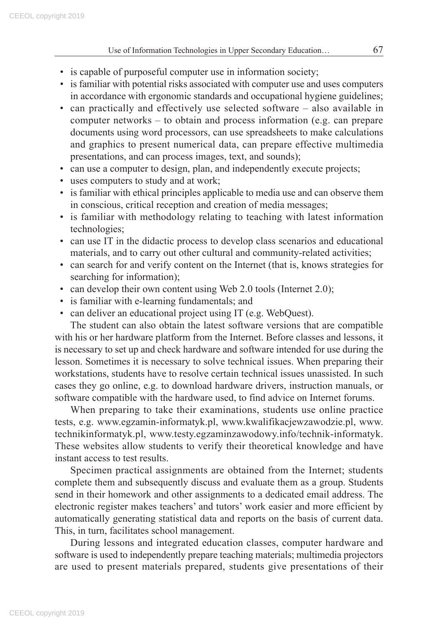- is capable of purposeful computer use in information society;
- is familiar with potential risks associated with computer use and uses computers in accordance with ergonomic standards and occupational hygiene guidelines;
- can practically and effectively use selected software also available in computer networks – to obtain and process information (e.g. can prepare documents using word processors, can use spreadsheets to make calculations and graphics to present numerical data, can prepare effective multimedia presentations, and can process images, text, and sounds);
- can use a computer to design, plan, and independently execute projects;
- uses computers to study and at work;
- is familiar with ethical principles applicable to media use and can observe them in conscious, critical reception and creation of media messages;
- is familiar with methodology relating to teaching with latest information technologies;
- can use IT in the didactic process to develop class scenarios and educational materials, and to carry out other cultural and community-related activities;
- can search for and verify content on the Internet (that is, knows strategies for searching for information);
- can develop their own content using Web 2.0 tools (Internet 2.0);
- is familiar with e-learning fundamentals; and
- can deliver an educational project using IT (e.g. WebQuest).

The student can also obtain the latest software versions that are compatible with his or her hardware platform from the Internet. Before classes and lessons, it is necessary to set up and check hardware and software intended for use during the lesson. Sometimes it is necessary to solve technical issues. When preparing their workstations, students have to resolve certain technical issues unassisted. In such cases they go online, e.g. to download hardware drivers, instruction manuals, or software compatible with the hardware used, to find advice on Internet forums.

When preparing to take their examinations, students use online practice tests, e.g. www.egzamin-informatyk.pl, www.kwalifikacjewzawodzie.pl, www. technikinformatyk.pl, www.testy.egzaminzawodowy.info/technik-informatyk. These websites allow students to verify their theoretical knowledge and have instant access to test results.

Specimen practical assignments are obtained from the Internet; students complete them and subsequently discuss and evaluate them as a group. Students send in their homework and other assignments to a dedicated email address. The electronic register makes teachers' and tutors' work easier and more efficient by automatically generating statistical data and reports on the basis of current data. This, in turn, facilitates school management.

During lessons and integrated education classes, computer hardware and software is used to independently prepare teaching materials; multimedia projectors are used to present materials prepared, students give presentations of their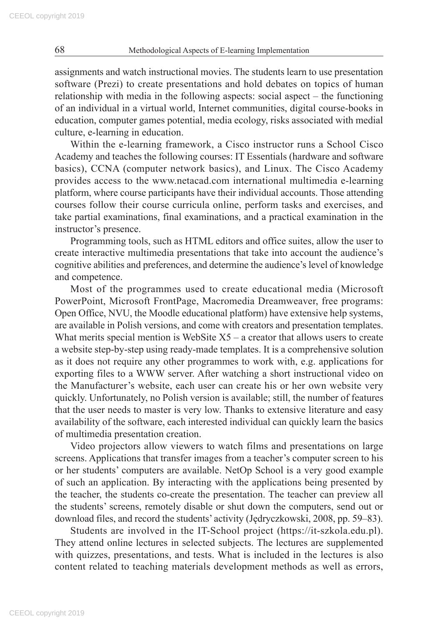assignments and watch instructional movies. The students learn to use presentation software (Prezi) to create presentations and hold debates on topics of human relationship with media in the following aspects: social aspect – the functioning of an individual in a virtual world, Internet communities, digital course-books in education, computer games potential, media ecology, risks associated with medial culture, e-learning in education.

Within the e-learning framework, a Cisco instructor runs a School Cisco Academy and teaches the following courses: IT Essentials (hardware and software basics), CCNA (computer network basics), and Linux. The Cisco Academy provides access to the www.netacad.com international multimedia e-learning platform, where course participants have their individual accounts. Those attending courses follow their course curricula online, perform tasks and exercises, and take partial examinations, final examinations, and a practical examination in the instructor's presence.

Programming tools, such as HTML editors and office suites, allow the user to create interactive multimedia presentations that take into account the audience's cognitive abilities and preferences, and determine the audience's level of knowledge and competence.

Most of the programmes used to create educational media (Microsoft PowerPoint, Microsoft FrontPage, Macromedia Dreamweaver, free programs: Open Office, NVU, the Moodle educational platform) have extensive help systems, are available in Polish versions, and come with creators and presentation templates. What merits special mention is WebSite  $X_5$  – a creator that allows users to create a website step-by-step using ready-made templates. It is a comprehensive solution as it does not require any other programmes to work with, e.g. applications for exporting files to a WWW server. After watching a short instructional video on the Manufacturer's website, each user can create his or her own website very quickly. Unfortunately, no Polish version is available; still, the number of features that the user needs to master is very low. Thanks to extensive literature and easy availability of the software, each interested individual can quickly learn the basics of multimedia presentation creation.

Video projectors allow viewers to watch films and presentations on large screens. Applications that transfer images from a teacher's computer screen to his or her students' computers are available. NetOp School is a very good example of such an application. By interacting with the applications being presented by the teacher, the students co-create the presentation. The teacher can preview all the students' screens, remotely disable or shut down the computers, send out or download files, and record the students' activity (Jędryczkowski, 2008, pp. 59–83).

Students are involved in the IT-School project (https://it-szkola.edu.pl). They attend online lectures in selected subjects. The lectures are supplemented with quizzes, presentations, and tests. What is included in the lectures is also content related to teaching materials development methods as well as errors,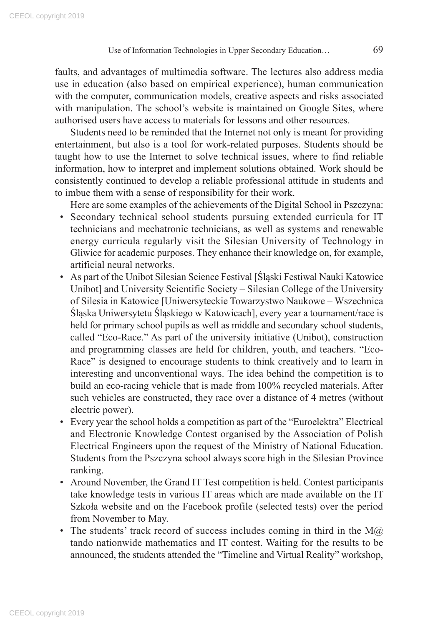faults, and advantages of multimedia software. The lectures also address media use in education (also based on empirical experience), human communication with the computer, communication models, creative aspects and risks associated with manipulation. The school's website is maintained on Google Sites, where authorised users have access to materials for lessons and other resources.

Students need to be reminded that the Internet not only is meant for providing entertainment, but also is a tool for work-related purposes. Students should be taught how to use the Internet to solve technical issues, where to find reliable information, how to interpret and implement solutions obtained. Work should be consistently continued to develop a reliable professional attitude in students and to imbue them with a sense of responsibility for their work.

Here are some examples of the achievements of the Digital School in Pszczyna:

- Secondary technical school students pursuing extended curricula for IT technicians and mechatronic technicians, as well as systems and renewable energy curricula regularly visit the Silesian University of Technology in Gliwice for academic purposes. They enhance their knowledge on, for example, artificial neural networks.
- As part of the Unibot Silesian Science Festival [Śląski Festiwal Nauki Katowice Unibot] and University Scientific Society – Silesian College of the University of Silesia in Katowice [Uniwersyteckie Towarzystwo Naukowe – Wszechnica Śląska Uniwersytetu Śląskiego w Katowicach], every year a tournament/race is held for primary school pupils as well as middle and secondary school students, called "Eco-Race." As part of the university initiative (Unibot), construction and programming classes are held for children, youth, and teachers. "Eco-Race" is designed to encourage students to think creatively and to learn in interesting and unconventional ways. The idea behind the competition is to build an eco-racing vehicle that is made from 100% recycled materials. After such vehicles are constructed, they race over a distance of 4 metres (without electric power).
- Every year the school holds a competition as part of the "Euroelektra" Electrical and Electronic Knowledge Contest organised by the Association of Polish Electrical Engineers upon the request of the Ministry of National Education. Students from the Pszczyna school always score high in the Silesian Province ranking.
- Around November, the Grand IT Test competition is held. Contest participants take knowledge tests in various IT areas which are made available on the IT Szkoła website and on the Facebook profile (selected tests) over the period from November to May.
- The students' track record of success includes coming in third in the  $M(\hat{a})$ tando nationwide mathematics and IT contest. Waiting for the results to be announced, the students attended the "Timeline and Virtual Reality" workshop,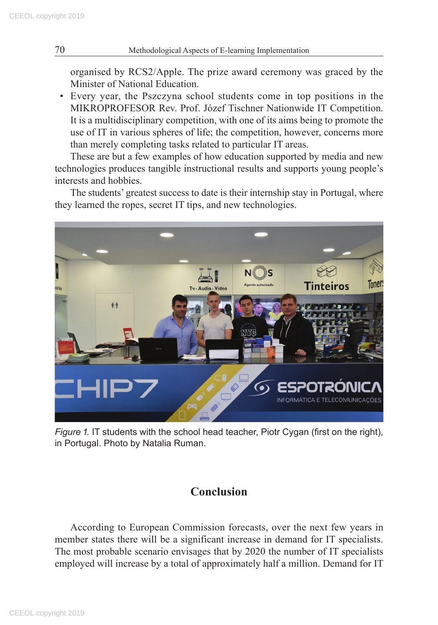organised by RCS2/Apple. The prize award ceremony was graced by the Minister of National Education.

• Every year, the Pszczyna school students come in top positions in the MIKROPROFESOR Rev. Prof. Józef Tischner Nationwide IT Competition. It is a multidisciplinary competition, with one of its aims being to promote the use of IT in various spheres of life; the competition, however, concerns more than merely completing tasks related to particular IT areas.

These are but a few examples of how education supported by media and new technologies produces tangible instructional results and supports young people's interests and hobbies.

The students' greatest success to date is their internship stay in Portugal, where they learned the ropes, secret IT tips, and new technologies.



*Figure 1.* IT students with the school head teacher, Piotr Cygan (first on the right), in Portugal. Photo by Natalia Ruman.

# **Conclusion**

According to European Commission forecasts, over the next few years in member states there will be a significant increase in demand for IT specialists. The most probable scenario envisages that by 2020 the number of IT specialists employed will increase by a total of approximately half a million. Demand for IT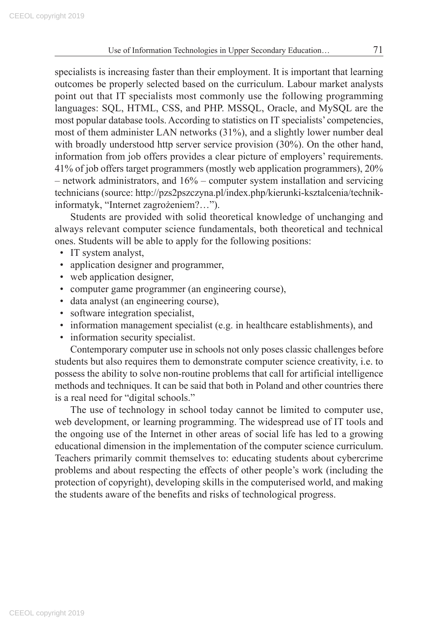specialists is increasing faster than their employment. It is important that learning outcomes be properly selected based on the curriculum. Labour market analysts point out that IT specialists most commonly use the following programming languages: SQL, HTML, CSS, and PHP. MSSQL, Oracle, and MySQL are the most popular database tools. According to statistics on IT specialists' competencies, most of them administer LAN networks (31%), and a slightly lower number deal with broadly understood http server service provision (30%). On the other hand, information from job offers provides a clear picture of employers' requirements. 41% of job offers target programmers (mostly web application programmers), 20% – network administrators, and 16% – computer system installation and servicing technicians (source: http://pzs2pszczyna.pl/index.php/kierunki-ksztalcenia/technikinformatyk, "Internet zagrożeniem?…").

Students are provided with solid theoretical knowledge of unchanging and always relevant computer science fundamentals, both theoretical and technical ones. Students will be able to apply for the following positions:

- IT system analyst,
- application designer and programmer,
- web application designer,
- computer game programmer (an engineering course),
- data analyst (an engineering course),
- software integration specialist,
- information management specialist (e.g. in healthcare establishments), and
- information security specialist.

Contemporary computer use in schools not only poses classic challenges before students but also requires them to demonstrate computer science creativity, i.e. to possess the ability to solve non-routine problems that call for artificial intelligence methods and techniques. It can be said that both in Poland and other countries there is a real need for "digital schools."

The use of technology in school today cannot be limited to computer use, web development, or learning programming. The widespread use of IT tools and the ongoing use of the Internet in other areas of social life has led to a growing educational dimension in the implementation of the computer science curriculum. Teachers primarily commit themselves to: educating students about cybercrime problems and about respecting the effects of other people's work (including the protection of copyright), developing skills in the computerised world, and making the students aware of the benefits and risks of technological progress.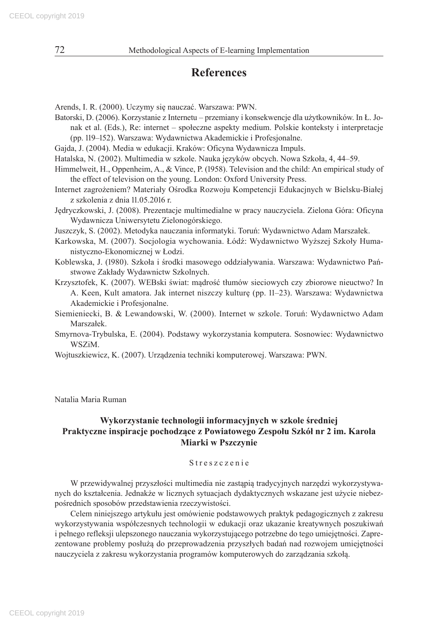# **References**

- Arends, I. R. (2000). Uczymy się nauczać. Warszawa: PWN.
- Batorski, D. (2006). Korzystanie z Internetu przemiany i konsekwencje dla użytkowników. In Ł. Jonak et al. (Eds.), Re: internet – społeczne aspekty medium. Polskie konteksty i interpretacje (pp. 119–152). Warszawa: Wydawnictwa Akademickie i Profesjonalne.
- Gajda, J. (2004). Media w edukacji. Kraków: Oficyna Wydawnicza Impuls.
- Hatalska, N. (2002). Multimedia w szkole. Nauka języków obcych. Nowa Szkoła, 4, 44–59.
- Himmelweit, H., Oppenheim, A., & Vince, P. (1958). Television and the child: An empirical study of the effect of television on the young. London: Oxford University Press.
- Internet zagrożeniem? Materiały Ośrodka Rozwoju Kompetencji Edukacjnych w Bielsku-Białej z szkolenia z dnia 11.05.2016 r.
- Jędryczkowski, J. (2008). Prezentacje multimedialne w pracy nauczyciela. Zielona Góra: Oficyna Wydawnicza Uniwersytetu Zielonogórskiego.
- Juszczyk, S. (2002). Metodyka nauczania informatyki. Toruń: Wydawnictwo Adam Marszałek.
- Karkowska, M. (2007). Socjologia wychowania. Łódź: Wydawnictwo Wyższej Szkoły Humanistyczno-Ekonomicznej w Łodzi.
- Koblewska, J. (1980). Szkoła i środki masowego oddziaływania. Warszawa: Wydawnictwo Państwowe Zakłady Wydawnictw Szkolnych.
- Krzysztofek, K. (2007). WEBski świat: mądrość tłumów sieciowych czy zbiorowe nieuctwo? In A. Keen, Kult amatora. Jak internet niszczy kulturę (pp. 11–23). Warszawa: Wydawnictwa Akademickie i Profesjonalne.
- Siemieniecki, B. & Lewandowski, W. (2000). Internet w szkole. Toruń: Wydawnictwo Adam Marszałek.
- Smyrnova-Trybulska, E. (2004). Podstawy wykorzystania komputera. Sosnowiec: Wydawnictwo WSZiM.
- Wojtuszkiewicz, K. (2007). Urządzenia techniki komputerowej. Warszawa: PWN.

Natalia Maria Ruman

#### **Wykorzystanie technologii informacyjnych w szkole średniej Praktyczne inspiracje pochodzące z Powiatowego Zespołu Szkół nr 2 im. Karola Miarki w Pszczynie**

#### Streszczenie

W przewidywalnej przyszłości multimedia nie zastąpią tradycyjnych narzędzi wykorzystywanych do kształcenia. Jednakże w licznych sytuacjach dydaktycznych wskazane jest użycie niebezpośrednich sposobów przedstawienia rzeczywistości.

Celem niniejszego artykułu jest omówienie podstawowych praktyk pedagogicznych z zakresu wykorzystywania współczesnych technologii w edukacji oraz ukazanie kreatywnych poszukiwań i pełnego refleksji ulepszonego nauczania wykorzystującego potrzebne do tego umiejętności. Zaprezentowane problemy posłużą do przeprowadzenia przyszłych badań nad rozwojem umiejętności nauczyciela z zakresu wykorzystania programów komputerowych do zarządzania szkołą.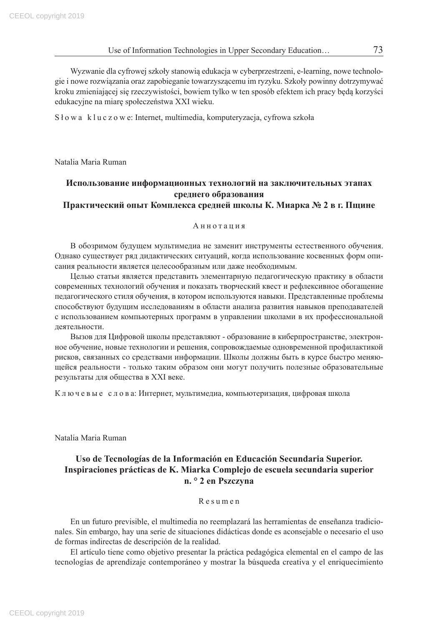Wyzwanie dla cyfrowej szkoły stanowią edukacja w cyberprzestrzeni, e-learning, nowe technologie i nowe rozwiązania oraz zapobieganie towarzyszącemu im ryzyku. Szkoły powinny dotrzymywać kroku zmieniającej się rzeczywistości, bowiem tylko w ten sposób efektem ich pracy będą korzyści edukacyjne na miarę społeczeństwa XXI wieku.

Słowa kluczowe: Internet, multimedia, komputeryzacja, cyfrowa szkoła

Natalia Maria Ruman

#### **Использование информационных технологий на заключительных этапах среднего образования Практический опыт Комплекса средней школы К. Миарка № 2 в г. Пщине**

#### Аннотация

В обозримом будущем мультимедиа не заменит инструменты естественного обучения. Однако существует ряд дидактических ситуаций, когда использование косвенных форм описания реальности является целесообразным или даже необходимым.

Целью статьи является представить элементарную педагогическую практику в области современных технологий обучения и показать творческий квест и рефлексивное обогащение педагогического стиля обучения, в котором используются навыки. Представленные проблемы способствуют будущим исследованиям в области анализа развития навыков преподавателей с использованием компьютерных программ в управлении школами в их профессиональной деятельности.

Вызов для Цифровой школы представляют - образование в киберпространстве, электронное обучение, новые технологии и решения, сопровождаемые одновременной профилактикой рисков, связанных со средствами информации. Школы должны быть в курсе быстро меняющейся реальности - только таким образом они могут получить полезные образовательные результаты для общества в XXI веке.

К л ю ч е в ы е с л о в а: Интернет, мультимедиа, компьютеризация, цифровая школа

Natalia Maria Ruman

#### **Uso de Tecnologías de la Información en Educación Secundaria Superior. Inspiraciones prácticas de K. Miarka Complejo de escuela secundaria superior n. ° 2 en Pszczyna**

#### Resumen

En un futuro previsible, el multimedia no reemplazará las herramientas de enseñanza tradicionales. Sin embargo, hay una serie de situaciones didácticas donde es aconsejable o necesario el uso de formas indirectas de descripción de la realidad.

El artículo tiene como objetivo presentar la práctica pedagógica elemental en el campo de las tecnologías de aprendizaje contemporáneo y mostrar la búsqueda creativa y el enriquecimiento